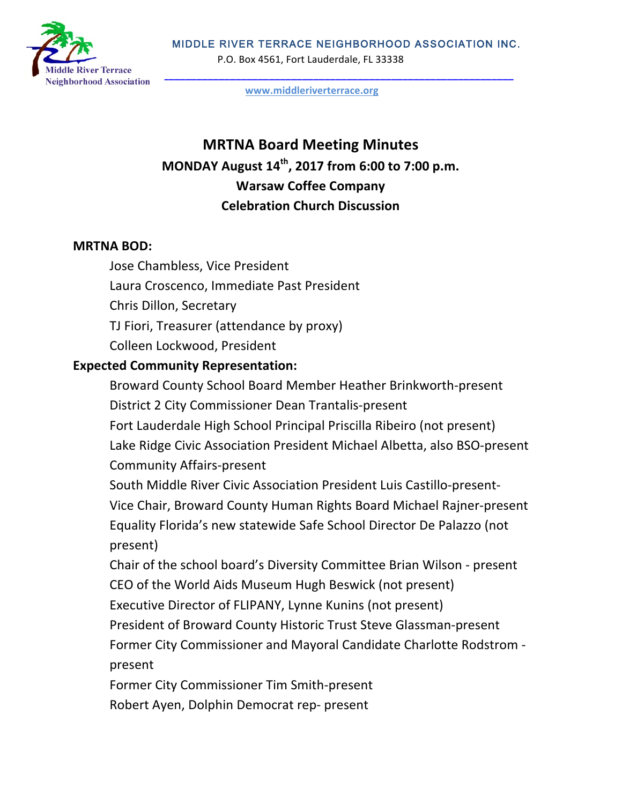MIDDLE RIVER TERRACE NEIGHBORHOOD ASSOCIATION INC.



P.O. Box 4561, Fort Lauderdale, FL 33338

**www.middleriverterrace.org**

# **MRTNA Board Meeting Minutes MONDAY August 14th, 2017 from 6:00 to 7:00 p.m. Warsaw Coffee Company Celebration Church Discussion**

### **MRTNA BOD:**

Jose Chambless, Vice President Laura Croscenco, Immediate Past President Chris Dillon, Secretary TJ Fiori, Treasurer (attendance by proxy) Colleen Lockwood, President

## **Expected Community Representation:**

Broward County School Board Member Heather Brinkworth-present District 2 City Commissioner Dean Trantalis-present

Fort Lauderdale High School Principal Priscilla Ribeiro (not present) Lake Ridge Civic Association President Michael Albetta, also BSO-present Community Affairs-present

South Middle River Civic Association President Luis Castillo-present-Vice Chair, Broward County Human Rights Board Michael Rajner-present Equality Florida's new statewide Safe School Director De Palazzo (not present)

Chair of the school board's Diversity Committee Brian Wilson - present CEO of the World Aids Museum Hugh Beswick (not present)

Executive Director of FLIPANY, Lynne Kunins (not present)

President of Broward County Historic Trust Steve Glassman-present Former City Commissioner and Mayoral Candidate Charlotte Rodstrom present

Former City Commissioner Tim Smith-present Robert Ayen, Dolphin Democrat rep- present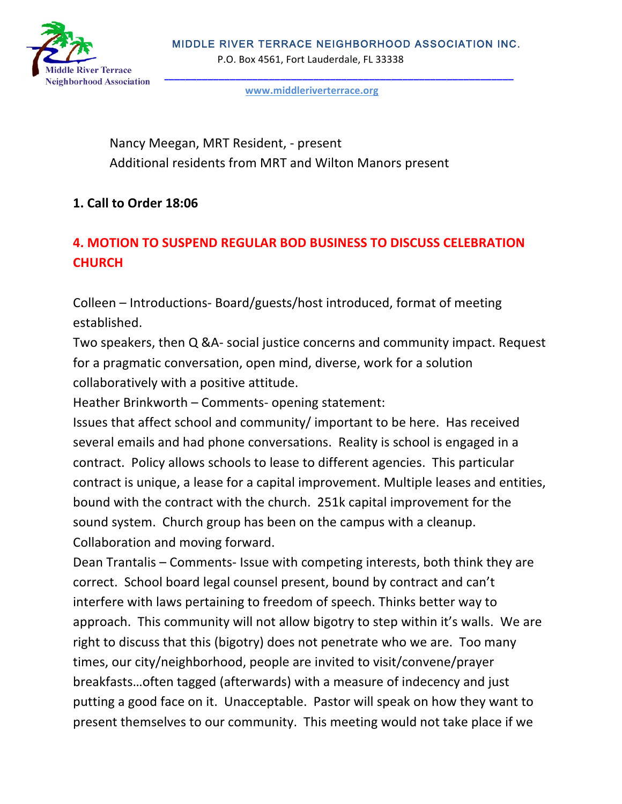

**www.middleriverterrace.org**

Nancy Meegan, MRT Resident, - present Additional residents from MRT and Wilton Manors present

# **1. Call to Order 18:06**

# **4. MOTION TO SUSPEND REGULAR BOD BUSINESS TO DISCUSS CELEBRATION CHURCH**

Colleen – Introductions- Board/guests/host introduced, format of meeting established.

Two speakers, then Q &A- social justice concerns and community impact. Request for a pragmatic conversation, open mind, diverse, work for a solution collaboratively with a positive attitude.

Heather Brinkworth  $-$  Comments- opening statement:

Issues that affect school and community/ important to be here. Has received several emails and had phone conversations. Reality is school is engaged in a contract. Policy allows schools to lease to different agencies. This particular contract is unique, a lease for a capital improvement. Multiple leases and entities, bound with the contract with the church. 251k capital improvement for the sound system. Church group has been on the campus with a cleanup. Collaboration and moving forward.

Dean Trantalis – Comments- Issue with competing interests, both think they are correct. School board legal counsel present, bound by contract and can't interfere with laws pertaining to freedom of speech. Thinks better way to approach. This community will not allow bigotry to step within it's walls. We are right to discuss that this (bigotry) does not penetrate who we are. Too many times, our city/neighborhood, people are invited to visit/convene/prayer breakfasts... often tagged (afterwards) with a measure of indecency and just putting a good face on it. Unacceptable. Pastor will speak on how they want to present themselves to our community. This meeting would not take place if we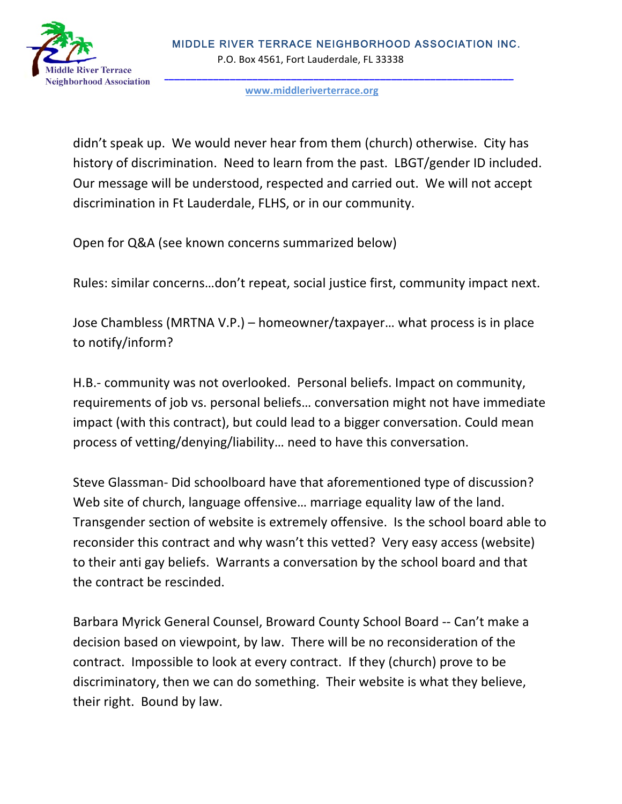

#### **www.middleriverterrace.org**

didn't speak up. We would never hear from them (church) otherwise. City has history of discrimination. Need to learn from the past. LBGT/gender ID included. Our message will be understood, respected and carried out. We will not accept discrimination in Ft Lauderdale, FLHS, or in our community.

Open for Q&A (see known concerns summarized below)

Rules: similar concerns...don't repeat, social justice first, community impact next.

Jose Chambless (MRTNA V.P.) – homeowner/taxpayer... what process is in place to notify/inform?

H.B.- community was not overlooked. Personal beliefs. Impact on community, requirements of job vs. personal beliefs... conversation might not have immediate impact (with this contract), but could lead to a bigger conversation. Could mean process of vetting/denying/liability... need to have this conversation.

Steve Glassman- Did schoolboard have that aforementioned type of discussion? Web site of church, language offensive... marriage equality law of the land. Transgender section of website is extremely offensive. Is the school board able to reconsider this contract and why wasn't this vetted? Very easy access (website) to their anti gay beliefs. Warrants a conversation by the school board and that the contract be rescinded.

Barbara Myrick General Counsel, Broward County School Board -- Can't make a decision based on viewpoint, by law. There will be no reconsideration of the contract. Impossible to look at every contract. If they (church) prove to be discriminatory, then we can do something. Their website is what they believe, their right. Bound by law.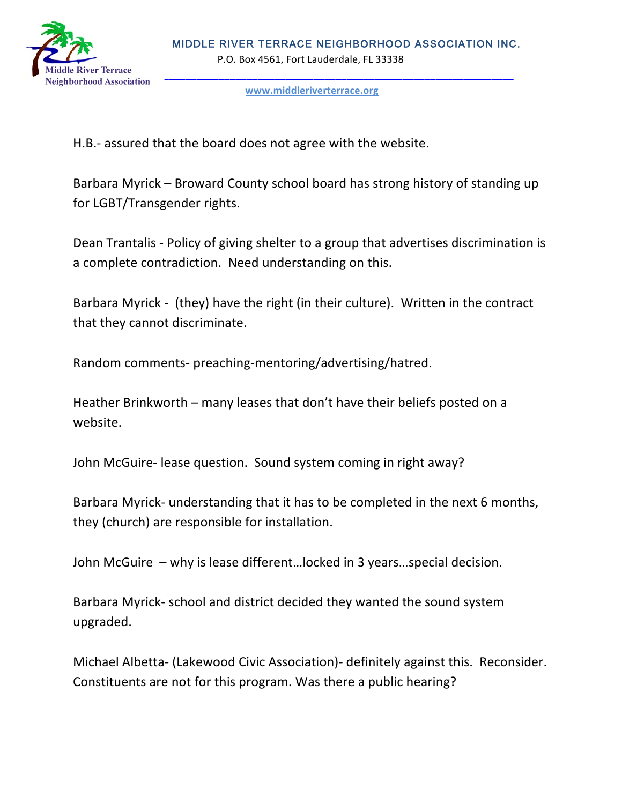

#### **www.middleriverterrace.org**

H.B.- assured that the board does not agree with the website.

Barbara Myrick – Broward County school board has strong history of standing up for LGBT/Transgender rights.

Dean Trantalis - Policy of giving shelter to a group that advertises discrimination is a complete contradiction. Need understanding on this.

Barbara Myrick - (they) have the right (in their culture). Written in the contract that they cannot discriminate.

Random comments- preaching-mentoring/advertising/hatred.

Heather Brinkworth – many leases that don't have their beliefs posted on a website.

John McGuire- lease question. Sound system coming in right away?

Barbara Myrick- understanding that it has to be completed in the next 6 months, they (church) are responsible for installation.

John McGuire - why is lease different...locked in 3 years...special decision.

Barbara Myrick- school and district decided they wanted the sound system upgraded.

Michael Albetta- (Lakewood Civic Association)- definitely against this. Reconsider. Constituents are not for this program. Was there a public hearing?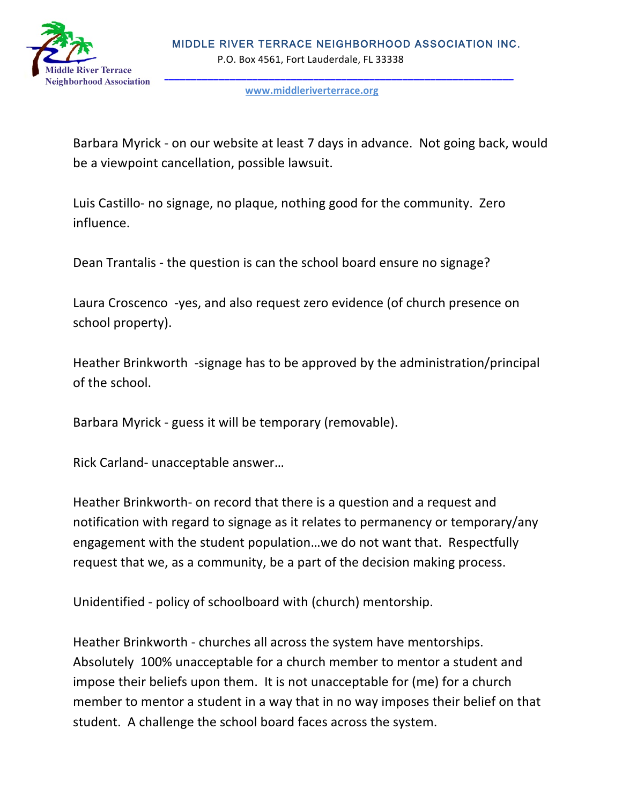

**www.middleriverterrace.org**

Barbara Myrick - on our website at least 7 days in advance. Not going back, would be a viewpoint cancellation, possible lawsuit.

Luis Castillo- no signage, no plaque, nothing good for the community. Zero influence. 

Dean Trantalis - the question is can the school board ensure no signage?

Laura Croscenco -yes, and also request zero evidence (of church presence on school property).

Heather Brinkworth -signage has to be approved by the administration/principal of the school.

Barbara Myrick - guess it will be temporary (removable).

Rick Carland- unacceptable answer...

Heather Brinkworth- on record that there is a question and a request and notification with regard to signage as it relates to permanency or temporary/any engagement with the student population...we do not want that. Respectfully request that we, as a community, be a part of the decision making process.

Unidentified - policy of schoolboard with (church) mentorship.

Heather Brinkworth - churches all across the system have mentorships. Absolutely 100% unacceptable for a church member to mentor a student and impose their beliefs upon them. It is not unacceptable for (me) for a church member to mentor a student in a way that in no way imposes their belief on that student. A challenge the school board faces across the system.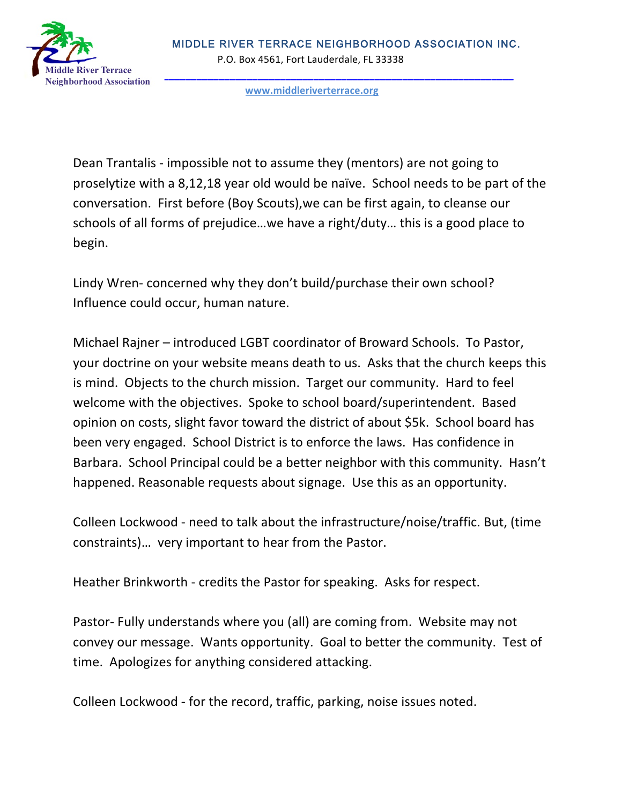

**www.middleriverterrace.org**

Dean Trantalis - impossible not to assume they (mentors) are not going to proselytize with a 8,12,18 year old would be naïve. School needs to be part of the conversation. First before (Boy Scouts), we can be first again, to cleanse our schools of all forms of prejudice...we have a right/duty... this is a good place to begin.

Lindy Wren- concerned why they don't build/purchase their own school? Influence could occur, human nature.

Michael Rajner – introduced LGBT coordinator of Broward Schools. To Pastor, your doctrine on your website means death to us. Asks that the church keeps this is mind. Objects to the church mission. Target our community. Hard to feel welcome with the objectives. Spoke to school board/superintendent. Based opinion on costs, slight favor toward the district of about \$5k. School board has been very engaged. School District is to enforce the laws. Has confidence in Barbara. School Principal could be a better neighbor with this community. Hasn't happened. Reasonable requests about signage. Use this as an opportunity.

Colleen Lockwood - need to talk about the infrastructure/noise/traffic. But, (time constraints)... very important to hear from the Pastor.

Heather Brinkworth - credits the Pastor for speaking. Asks for respect.

Pastor- Fully understands where you (all) are coming from. Website may not convey our message. Wants opportunity. Goal to better the community. Test of time. Apologizes for anything considered attacking.

Colleen Lockwood - for the record, traffic, parking, noise issues noted.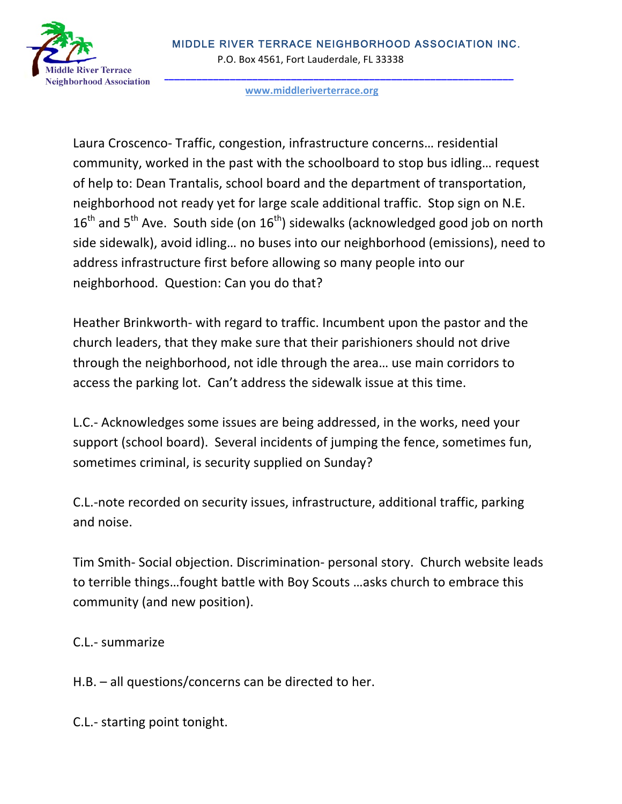

#### **www.middleriverterrace.org**

Laura Croscenco- Traffic, congestion, infrastructure concerns... residential community, worked in the past with the schoolboard to stop bus idling... request of help to: Dean Trantalis, school board and the department of transportation, neighborhood not ready yet for large scale additional traffic. Stop sign on N.E.  $16<sup>th</sup>$  and  $5<sup>th</sup>$  Ave. South side (on  $16<sup>th</sup>$ ) sidewalks (acknowledged good job on north side sidewalk), avoid idling... no buses into our neighborhood (emissions), need to address infrastructure first before allowing so many people into our neighborhood. Question: Can you do that?

Heather Brinkworth- with regard to traffic. Incumbent upon the pastor and the church leaders, that they make sure that their parishioners should not drive through the neighborhood, not idle through the area... use main corridors to access the parking lot. Can't address the sidewalk issue at this time.

L.C.- Acknowledges some issues are being addressed, in the works, need your support (school board). Several incidents of jumping the fence, sometimes fun, sometimes criminal, is security supplied on Sunday?

C.L.-note recorded on security issues, infrastructure, additional traffic, parking and noise.

Tim Smith- Social objection. Discrimination- personal story. Church website leads to terrible things...fought battle with Boy Scouts ... asks church to embrace this community (and new position).

C.L.- summarize

 $H.B.$  – all questions/concerns can be directed to her.

C.L.- starting point tonight.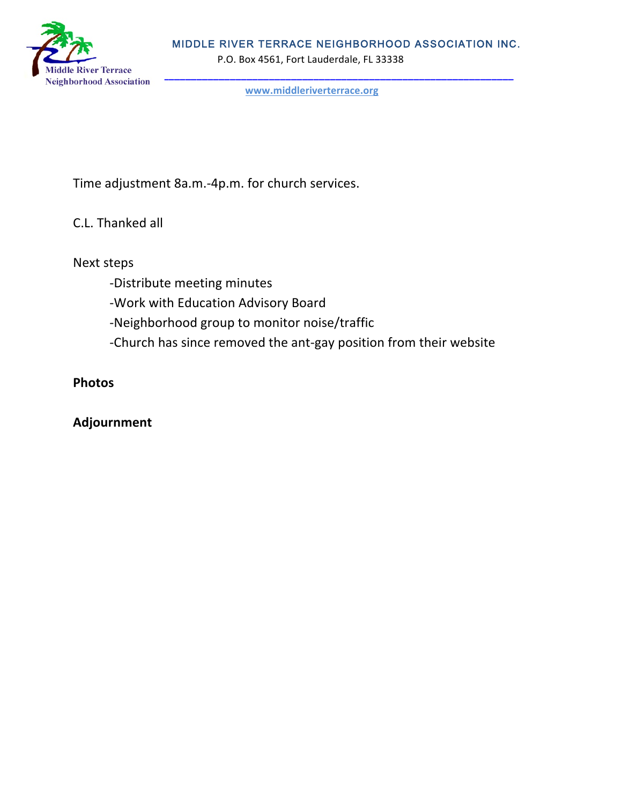

**www.middleriverterrace.org**

Time adjustment 8a.m.-4p.m. for church services.

C.L. Thanked all

Next steps

- -Distribute meeting minutes
- -Work with Education Advisory Board
- -Neighborhood group to monitor noise/traffic
- -Church has since removed the ant-gay position from their website

# **Photos**

# **Adjournment**